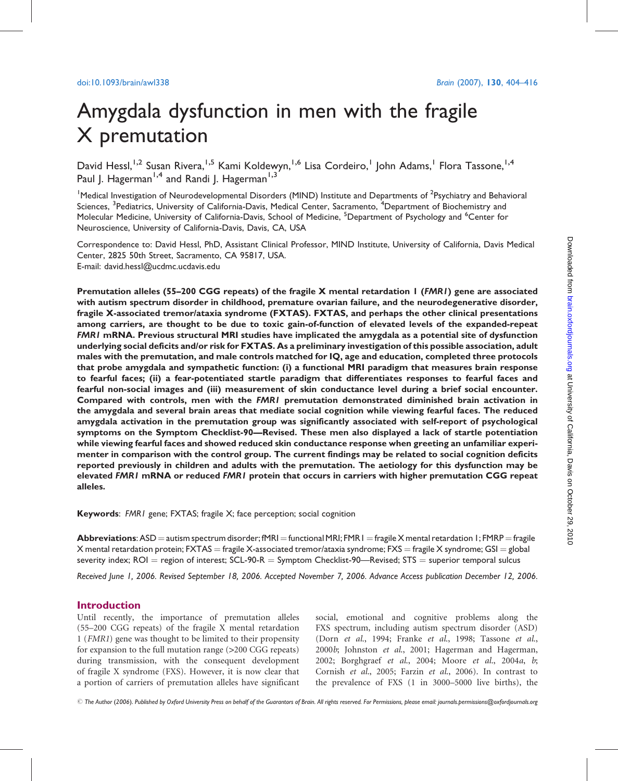# Amygdala dysfunction in men with the fragile X premutation

David Hessl,<sup>1,2</sup> Susan Rivera,<sup>1,5</sup> Kami Koldewyn,<sup>1,6</sup> Lisa Cordeiro,<sup>1</sup> John Adams,<sup>1</sup> Flora Tassone,<sup>1,4</sup> Paul J. Hagerman<sup>1,4</sup> and Randi J. Hagerman<sup>1,3</sup>

<sup>1</sup>Medical Investigation of Neurodevelopmental Disorders (MIND) Institute and Departments of <sup>2</sup>Psychiatry and Behavioral Sciences, <sup>3</sup>Pediatrics, University of California-Davis, Medical Center, Sacramento, <sup>4</sup>Department of Biochemistry and Molecular Medicine, University of California-Davis, School of Medicine, <sup>5</sup>Department of Psychology and <sup>6</sup>Center for Neuroscience, University of California-Davis, Davis, CA, USA

Correspondence to: David Hessl, PhD, Assistant Clinical Professor, MIND Institute, University of California, Davis Medical Center, 2825 50th Street, Sacramento, CA 95817, USA. E-mail: david.hessl@ucdmc.ucdavis.edu

Premutation alleles (55–200 CGG repeats) of the fragile X mental retardation 1 (FMR1) gene are associated with autism spectrum disorder in childhood, premature ovarian failure, and the neurodegenerative disorder, fragile X-associated tremor/ataxia syndrome (FXTAS). FXTAS, and perhaps the other clinical presentations among carriers, are thought to be due to toxic gain-of-function of elevated levels of the expanded-repeat FMR1 mRNA. Previous structural MRI studies have implicated the amygdala as a potential site of dysfunction underlying social deficits and/or risk for FXTAS. As a preliminary investigation of this possible association, adult males with the premutation, and male controls matched for IQ, age and education, completed three protocols that probe amygdala and sympathetic function: (i) a functional MRI paradigm that measures brain response to fearful faces; (ii) a fear-potentiated startle paradigm that differentiates responses to fearful faces and fearful non-social images and (iii) measurement of skin conductance level during a brief social encounter. Compared with controls, men with the FMR1 premutation demonstrated diminished brain activation in the amygdala and several brain areas that mediate social cognition while viewing fearful faces. The reduced amygdala activation in the premutation group was significantly associated with self-report of psychological symptoms on the Symptom Checklist-90—Revised. These men also displayed a lack of startle potentiation while viewing fearful faces and showed reduced skin conductance response when greeting an unfamiliar experimenter in comparison with the control group. The current findings may be related to social cognition deficits reported previously in children and adults with the premutation. The aetiology for this dysfunction may be elevated FMR1 mRNA or reduced FMR1 protein that occurs in carriers with higher premutation CGG repeat alleles.

Keywords: FMR1 gene; FXTAS; fragile X; face perception; social cognition

Abbreviations:  $ASD =$  autism spectrum disorder; fMRI = functional MRI; FMR1 = fragile X mental retardation 1; FMRP = fragile X mental retardation protein; FXTAS = fragile X-associated tremor/ataxia syndrome; FXS = fragile X syndrome; GSI = global severity index;  $ROI = region$  of interest;  $SCL-90-R = Symptom$  Checklist-90—Revised;  $STS = superior$  temporal sulcus

Received June 1, 2006. Revised September 18, 2006. Accepted November 7, 2006. Advance Access publication December 12, 2006.

# **Introduction**

Until recently, the importance of premutation alleles (55–200 CGG repeats) of the fragile X mental retardation 1 (FMR1) gene was thought to be limited to their propensity for expansion to the full mutation range (>200 CGG repeats) during transmission, with the consequent development of fragile X syndrome (FXS). However, it is now clear that a portion of carriers of premutation alleles have significant social, emotional and cognitive problems along the FXS spectrum, including autism spectrum disorder (ASD) (Dorn et al., 1994; Franke et al., 1998; Tassone et al., 2000b; Johnston et al., 2001; Hagerman and Hagerman, 2002; Borghgraef et al., 2004; Moore et al., 2004a, b; Cornish et al., 2005; Farzin et al., 2006). In contrast to the prevalence of FXS (1 in 3000–5000 live births), the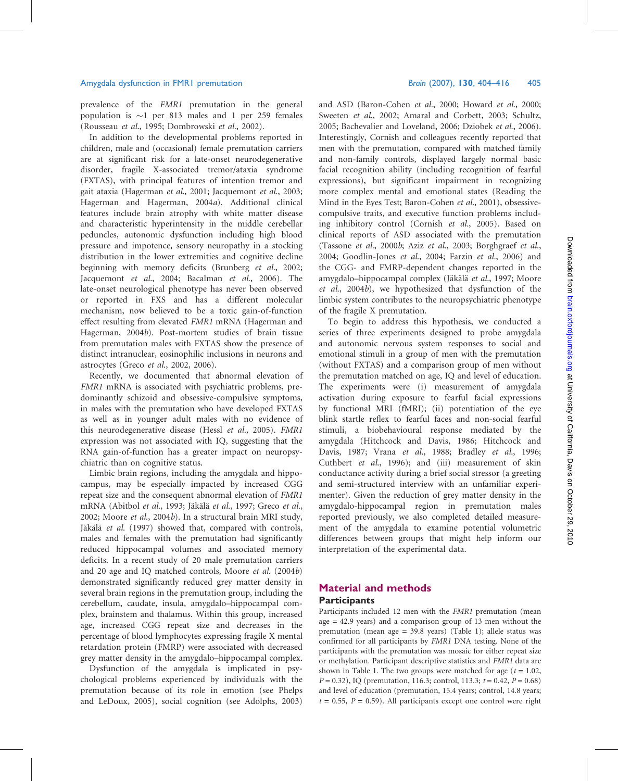prevalence of the FMR1 premutation in the general population is  $\sim$ 1 per 813 males and 1 per 259 females (Rousseau et al., 1995; Dombrowski et al., 2002).

In addition to the developmental problems reported in children, male and (occasional) female premutation carriers are at significant risk for a late-onset neurodegenerative disorder, fragile X-associated tremor/ataxia syndrome (FXTAS), with principal features of intention tremor and gait ataxia (Hagerman et al., 2001; Jacquemont et al., 2003; Hagerman and Hagerman, 2004a). Additional clinical features include brain atrophy with white matter disease and characteristic hyperintensity in the middle cerebellar peduncles, autonomic dysfunction including high blood pressure and impotence, sensory neuropathy in a stocking distribution in the lower extremities and cognitive decline beginning with memory deficits (Brunberg et al., 2002; Jacquemont et al., 2004; Bacalman et al., 2006). The late-onset neurological phenotype has never been observed or reported in FXS and has a different molecular mechanism, now believed to be a toxic gain-of-function effect resulting from elevated FMR1 mRNA (Hagerman and Hagerman, 2004b). Post-mortem studies of brain tissue from premutation males with FXTAS show the presence of distinct intranuclear, eosinophilic inclusions in neurons and astrocytes (Greco et al., 2002, 2006).

Recently, we documented that abnormal elevation of FMR1 mRNA is associated with psychiatric problems, predominantly schizoid and obsessive-compulsive symptoms, in males with the premutation who have developed FXTAS as well as in younger adult males with no evidence of this neurodegenerative disease (Hessl et al., 2005). FMR1 expression was not associated with IQ, suggesting that the RNA gain-of-function has a greater impact on neuropsychiatric than on cognitive status.

Limbic brain regions, including the amygdala and hippocampus, may be especially impacted by increased CGG repeat size and the consequent abnormal elevation of FMR1 mRNA (Abitbol et al., 1993; Jäkälä et al., 1997; Greco et al., 2002; Moore et al., 2004b). In a structural brain MRI study, Jäkälä et al. (1997) showed that, compared with controls, males and females with the premutation had significantly reduced hippocampal volumes and associated memory deficits. In a recent study of 20 male premutation carriers and 20 age and IQ matched controls, Moore et al. (2004b) demonstrated significantly reduced grey matter density in several brain regions in the premutation group, including the cerebellum, caudate, insula, amygdalo–hippocampal complex, brainstem and thalamus. Within this group, increased age, increased CGG repeat size and decreases in the percentage of blood lymphocytes expressing fragile X mental retardation protein (FMRP) were associated with decreased grey matter density in the amygdalo–hippocampal complex.

Dysfunction of the amygdala is implicated in psychological problems experienced by individuals with the premutation because of its role in emotion (see Phelps and LeDoux, 2005), social cognition (see Adolphs, 2003) and ASD (Baron-Cohen et al., 2000; Howard et al., 2000; Sweeten et al., 2002; Amaral and Corbett, 2003; Schultz, 2005; Bachevalier and Loveland, 2006; Dziobek et al., 2006). Interestingly, Cornish and colleagues recently reported that men with the premutation, compared with matched family and non-family controls, displayed largely normal basic facial recognition ability (including recognition of fearful expressions), but significant impairment in recognizing more complex mental and emotional states (Reading the Mind in the Eyes Test; Baron-Cohen et al., 2001), obsessivecompulsive traits, and executive function problems including inhibitory control (Cornish et al., 2005). Based on clinical reports of ASD associated with the premutation (Tassone et al., 2000b; Aziz et al., 2003; Borghgraef et al., 2004; Goodlin-Jones et al., 2004; Farzin et al., 2006) and the CGG- and FMRP-dependent changes reported in the amygdalo–hippocampal complex (Jäkälä et al., 1997; Moore et al., 2004b), we hypothesized that dysfunction of the limbic system contributes to the neuropsychiatric phenotype of the fragile X premutation.

To begin to address this hypothesis, we conducted a series of three experiments designed to probe amygdala and autonomic nervous system responses to social and emotional stimuli in a group of men with the premutation (without FXTAS) and a comparison group of men without the premutation matched on age, IQ and level of education. The experiments were (i) measurement of amygdala activation during exposure to fearful facial expressions by functional MRI (fMRI); (ii) potentiation of the eye blink startle reflex to fearful faces and non-social fearful stimuli, a biobehavioural response mediated by the amygdala (Hitchcock and Davis, 1986; Hitchcock and Davis, 1987; Vrana et al., 1988; Bradley et al., 1996; Cuthbert et al., 1996); and (iii) measurement of skin conductance activity during a brief social stressor (a greeting and semi-structured interview with an unfamiliar experimenter). Given the reduction of grey matter density in the amygdalo-hippocampal region in premutation males reported previously, we also completed detailed measurement of the amygdala to examine potential volumetric differences between groups that might help inform our interpretation of the experimental data.

# Material and methods **Participants**

Participants included 12 men with the FMR1 premutation (mean age = 42.9 years) and a comparison group of 13 men without the premutation (mean age = 39.8 years) (Table 1); allele status was confirmed for all participants by FMR1 DNA testing. None of the participants with the premutation was mosaic for either repeat size or methylation. Participant descriptive statistics and FMR1 data are shown in Table 1. The two groups were matched for age  $(t = 1.02,$  $P = 0.32$ ), IQ (premutation, 116.3; control, 113.3;  $t = 0.42$ ,  $P = 0.68$ ) and level of education (premutation, 15.4 years; control, 14.8 years;  $t = 0.55$ ,  $P = 0.59$ ). All participants except one control were right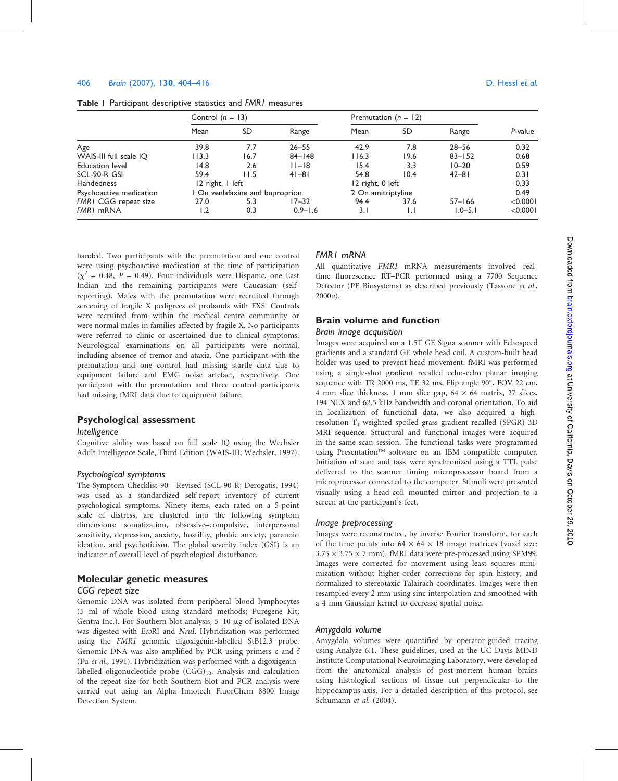#### 406 Brain (2007), 130, 404–416 D. Hessl et al.

Table 1 Participant descriptive statistics and FMR1 measures

|                         | Control $(n = 13)$ |                                 |             | Premutation $(n = 12)$ |                    |             |            |
|-------------------------|--------------------|---------------------------------|-------------|------------------------|--------------------|-------------|------------|
|                         | Mean               | SD                              | Range       | Mean                   | SD.                | Range       | P-value    |
| Age                     | 39.8               | 7.7                             | $26 - 55$   | 42.9                   | 7.8                | $28 - 56$   | 0.32       |
| WAIS-III full scale IQ  | 113.3              | 16.7                            | $84 - 148$  | 116.3                  | 19.6               | $83 - 152$  | 0.68       |
| <b>Education</b> level  | 14.8               | 2.6                             | $  - 8 $    | 15.4                   | 3.3                | $10 - 20$   | 0.59       |
| SCL-90-R GSI            | 59.4               | 11.5                            | $41 - 81$   | 54.8                   | 10.4               | $42 - 81$   | 0.31       |
| <b>Handedness</b>       | 12 right, I left   |                                 |             | 12 right, 0 left       |                    |             | 0.33       |
| Psychoactive medication |                    | I On venlafaxine and buproprion |             |                        | 2 On amitriptyline |             |            |
| FMRI CGG repeat size    | 27.0               | 5.3                             | $17 - 32$   | 94.4                   | 37.6               | $57 - 166$  | $<$ 0.0001 |
| <b>FMRI mRNA</b>        | 1.2                | 0.3                             | $0.9 - 1.6$ | 3.1                    | I.I                | $1.0 - 5.1$ | $<$ 0.0001 |

handed. Two participants with the premutation and one control were using psychoactive medication at the time of participation  $(\chi^2 = 0.48, P = 0.49)$ . Four individuals were Hispanic, one East Indian and the remaining participants were Caucasian (selfreporting). Males with the premutation were recruited through screening of fragile X pedigrees of probands with FXS. Controls were recruited from within the medical centre community or were normal males in families affected by fragile X. No participants were referred to clinic or ascertained due to clinical symptoms. Neurological examinations on all participants were normal, including absence of tremor and ataxia. One participant with the premutation and one control had missing startle data due to equipment failure and EMG noise artefact, respectively. One participant with the premutation and three control participants had missing fMRI data due to equipment failure.

# Psychological assessment

# Intelligence

Cognitive ability was based on full scale IQ using the Wechsler Adult Intelligence Scale, Third Edition (WAIS-III; Wechsler, 1997).

#### Psychological symptoms

The Symptom Checklist-90—Revised (SCL-90-R; Derogatis, 1994) was used as a standardized self-report inventory of current psychological symptoms. Ninety items, each rated on a 5-point scale of distress, are clustered into the following symptom dimensions: somatization, obsessive–compulsive, interpersonal sensitivity, depression, anxiety, hostility, phobic anxiety, paranoid ideation, and psychoticism. The global severity index (GSI) is an indicator of overall level of psychological disturbance.

# Molecular genetic measures

# CGG repeat size

Genomic DNA was isolated from peripheral blood lymphocytes (5 ml of whole blood using standard methods; Puregene Kit; Gentra Inc.). For Southern blot analysis, 5-10 µg of isolated DNA was digested with EcoRI and NruI. Hybridization was performed using the FMR1 genomic digoxigenin-labelled StB12.3 probe. Genomic DNA was also amplified by PCR using primers c and f (Fu et al., 1991). Hybridization was performed with a digoxigeninlabelled oligonucleotide probe  $(CGG)_{10}$ . Analysis and calculation of the repeat size for both Southern blot and PCR analysis were carried out using an Alpha Innotech FluorChem 8800 Image Detection System.

## FMR1 mRNA

All quantitative FMR1 mRNA measurements involved realtime fluorescence RT–PCR performed using a 7700 Sequence Detector (PE Biosystems) as described previously (Tassone et al., 2000a).

## Brain volume and function

# Brain image acquisition

Images were acquired on a 1.5T GE Signa scanner with Echospeed gradients and a standard GE whole head coil. A custom-built head holder was used to prevent head movement. fMRI was performed using a single-shot gradient recalled echo-echo planar imaging sequence with TR 2000 ms, TE 32 ms, Flip angle 90°, FOV 22 cm, 4 mm slice thickness, 1 mm slice gap,  $64 \times 64$  matrix, 27 slices, 194 NEX and 62.5 kHz bandwidth and coronal orientation. To aid in localization of functional data, we also acquired a highresolution  $T_1$ -weighted spoiled grass gradient recalled (SPGR) 3D MRI sequence. Structural and functional images were acquired in the same scan session. The functional tasks were programmed using Presentation<sup>TM</sup> software on an IBM compatible computer. Initiation of scan and task were synchronized using a TTL pulse delivered to the scanner timing microprocessor board from a microprocessor connected to the computer. Stimuli were presented visually using a head-coil mounted mirror and projection to a screen at the participant's feet.

#### Image preprocessing

Images were reconstructed, by inverse Fourier transform, for each of the time points into  $64 \times 64 \times 18$  image matrices (voxel size:  $3.75 \times 3.75 \times 7$  mm). fMRI data were pre-processed using SPM99. Images were corrected for movement using least squares minimization without higher-order corrections for spin history, and normalized to stereotaxic Talairach coordinates. Images were then resampled every 2 mm using sinc interpolation and smoothed with a 4 mm Gaussian kernel to decrease spatial noise.

## Amygdala volume

Amygdala volumes were quantified by operator-guided tracing using Analyze 6.1. These guidelines, used at the UC Davis MIND Institute Computational Neuroimaging Laboratory, were developed from the anatomical analysis of post-mortem human brains using histological sections of tissue cut perpendicular to the hippocampus axis. For a detailed description of this protocol, see Schumann et al. (2004).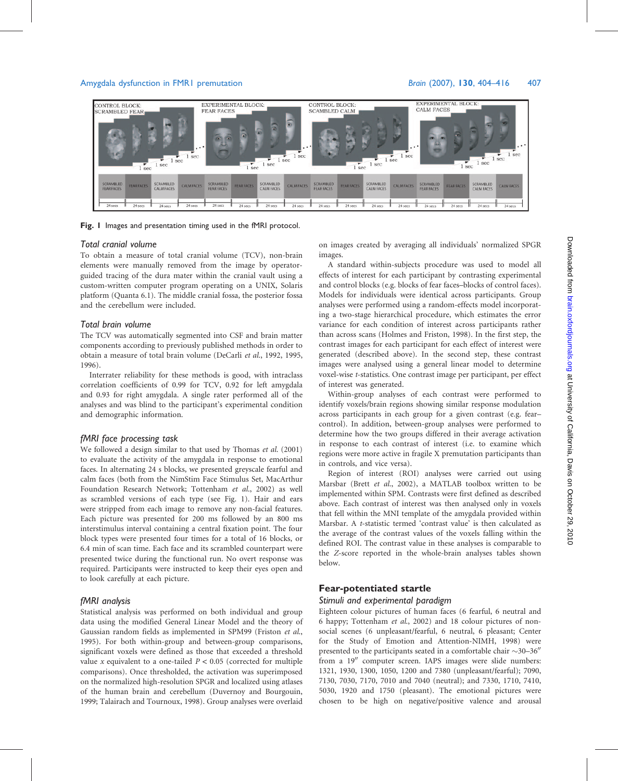

Fig. I Images and presentation timing used in the fMRI protocol.

#### Total cranial volume

To obtain a measure of total cranial volume (TCV), non-brain elements were manually removed from the image by operatorguided tracing of the dura mater within the cranial vault using a custom-written computer program operating on a UNIX, Solaris platform (Quanta 6.1). The middle cranial fossa, the posterior fossa and the cerebellum were included.

# Total brain volume

The TCV was automatically segmented into CSF and brain matter components according to previously published methods in order to obtain a measure of total brain volume (DeCarli et al., 1992, 1995, 1996).

Interrater reliability for these methods is good, with intraclass correlation coefficients of 0.99 for TCV, 0.92 for left amygdala and 0.93 for right amygdala. A single rater performed all of the analyses and was blind to the participant's experimental condition and demographic information.

#### fMRI face processing task

We followed a design similar to that used by Thomas et al. (2001) to evaluate the activity of the amygdala in response to emotional faces. In alternating 24 s blocks, we presented greyscale fearful and calm faces (both from the NimStim Face Stimulus Set, MacArthur Foundation Research Network; Tottenham et al., 2002) as well as scrambled versions of each type (see Fig. 1). Hair and ears were stripped from each image to remove any non-facial features. Each picture was presented for 200 ms followed by an 800 ms interstimulus interval containing a central fixation point. The four block types were presented four times for a total of 16 blocks, or 6.4 min of scan time. Each face and its scrambled counterpart were presented twice during the functional run. No overt response was required. Participants were instructed to keep their eyes open and to look carefully at each picture.

#### fMRI analysis

Statistical analysis was performed on both individual and group data using the modified General Linear Model and the theory of Gaussian random fields as implemented in SPM99 (Friston et al., 1995). For both within-group and between-group comparisons, significant voxels were defined as those that exceeded a threshold value x equivalent to a one-tailed  $P < 0.05$  (corrected for multiple comparisons). Once thresholded, the activation was superimposed on the normalized high-resolution SPGR and localized using atlases of the human brain and cerebellum (Duvernoy and Bourgouin, 1999; Talairach and Tournoux, 1998). Group analyses were overlaid

on images created by averaging all individuals' normalized SPGR images.

A standard within-subjects procedure was used to model all effects of interest for each participant by contrasting experimental and control blocks (e.g. blocks of fear faces–blocks of control faces). Models for individuals were identical across participants. Group analyses were performed using a random-effects model incorporating a two-stage hierarchical procedure, which estimates the error variance for each condition of interest across participants rather than across scans (Holmes and Friston, 1998). In the first step, the contrast images for each participant for each effect of interest were generated (described above). In the second step, these contrast images were analysed using a general linear model to determine voxel-wise t-statistics. One contrast image per participant, per effect of interest was generated.

Within-group analyses of each contrast were performed to identify voxels/brain regions showing similar response modulation across participants in each group for a given contrast (e.g. fear– control). In addition, between-group analyses were performed to determine how the two groups differed in their average activation in response to each contrast of interest (i.e. to examine which regions were more active in fragile X premutation participants than in controls, and vice versa).

Region of interest (ROI) analyses were carried out using Marsbar (Brett et al., 2002), a MATLAB toolbox written to be implemented within SPM. Contrasts were first defined as described above. Each contrast of interest was then analysed only in voxels that fell within the MNI template of the amygdala provided within Marsbar. A t-statistic termed 'contrast value' is then calculated as the average of the contrast values of the voxels falling within the defined ROI. The contrast value in these analyses is comparable to the Z-score reported in the whole-brain analyses tables shown below.

#### Fear-potentiated startle

#### Stimuli and experimental paradigm

Eighteen colour pictures of human faces (6 fearful, 6 neutral and 6 happy; Tottenham et al., 2002) and 18 colour pictures of nonsocial scenes (6 unpleasant/fearful, 6 neutral, 6 pleasant; Center for the Study of Emotion and Attention-NIMH, 1998) were presented to the participants seated in a comfortable chair  $\sim$ 30–36<sup>0</sup> from a  $19''$  computer screen. IAPS images were slide numbers: 1321, 1930, 1300, 1050, 1200 and 7380 (unpleasant/fearful); 7090, 7130, 7030, 7170, 7010 and 7040 (neutral); and 7330, 1710, 7410, 5030, 1920 and 1750 (pleasant). The emotional pictures were chosen to be high on negative/positive valence and arousal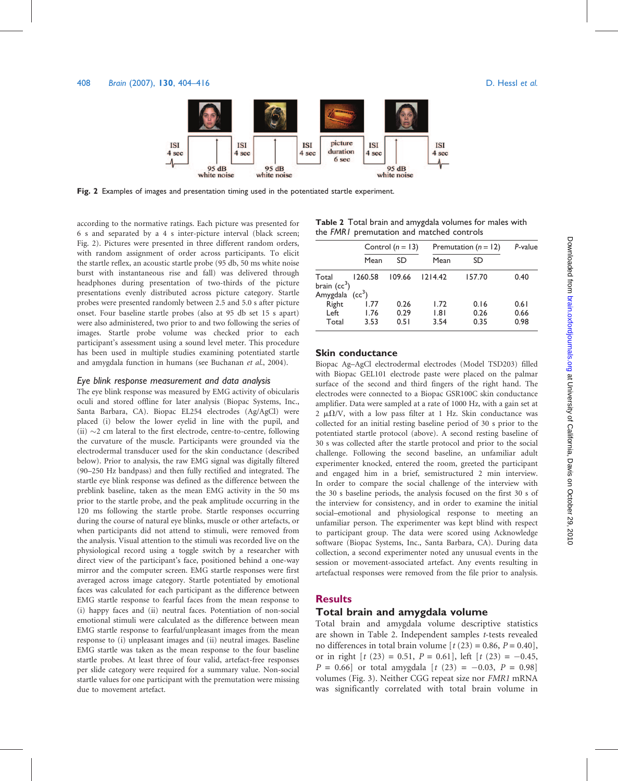

Fig. 2 Examples of images and presentation timing used in the potentiated startle experiment.

according to the normative ratings. Each picture was presented for 6 s and separated by a 4 s inter-picture interval (black screen; Fig. 2). Pictures were presented in three different random orders, with random assignment of order across participants. To elicit the startle reflex, an acoustic startle probe (95 db, 50 ms white noise burst with instantaneous rise and fall) was delivered through headphones during presentation of two-thirds of the picture presentations evenly distributed across picture category. Startle probes were presented randomly between 2.5 and 5.0 s after picture onset. Four baseline startle probes (also at 95 db set 15 s apart) were also administered, two prior to and two following the series of images. Startle probe volume was checked prior to each participant's assessment using a sound level meter. This procedure has been used in multiple studies examining potentiated startle and amygdala function in humans (see Buchanan et al., 2004).

#### Eye blink response measurement and data analysis

The eye blink response was measured by EMG activity of obicularis oculi and stored offline for later analysis (Biopac Systems, Inc., Santa Barbara, CA). Biopac EL254 electrodes (Ag/AgCl) were placed (i) below the lower eyelid in line with the pupil, and (ii)  $\sim$ 2 cm lateral to the first electrode, centre-to-centre, following the curvature of the muscle. Participants were grounded via the electrodermal transducer used for the skin conductance (described below). Prior to analysis, the raw EMG signal was digitally filtered (90–250 Hz bandpass) and then fully rectified and integrated. The startle eye blink response was defined as the difference between the preblink baseline, taken as the mean EMG activity in the 50 ms prior to the startle probe, and the peak amplitude occurring in the 120 ms following the startle probe. Startle responses occurring during the course of natural eye blinks, muscle or other artefacts, or when participants did not attend to stimuli, were removed from the analysis. Visual attention to the stimuli was recorded live on the physiological record using a toggle switch by a researcher with direct view of the participant's face, positioned behind a one-way mirror and the computer screen. EMG startle responses were first averaged across image category. Startle potentiated by emotional faces was calculated for each participant as the difference between EMG startle response to fearful faces from the mean response to (i) happy faces and (ii) neutral faces. Potentiation of non-social emotional stimuli were calculated as the difference between mean EMG startle response to fearful/unpleasant images from the mean response to (i) unpleasant images and (ii) neutral images. Baseline EMG startle was taken as the mean response to the four baseline startle probes. At least three of four valid, artefact-free responses per slide category were required for a summary value. Non-social startle values for one participant with the premutation were missing due to movement artefact.

Table 2 Total brain and amygdala volumes for males with the FMR1 premutation and matched controls

|                                                        |                      | Control $(n = 13)$   |                      | Premutation ( $n = 12$ ) | P-value              |  |
|--------------------------------------------------------|----------------------|----------------------|----------------------|--------------------------|----------------------|--|
|                                                        | Mean                 | SD                   | Mean                 | SD                       |                      |  |
| Total<br>brain $(cc^3)$<br>Amygdala (cc <sup>3</sup> ) | 1260.58              | 109.66               | 1214.42              | 157.70                   | 0.40                 |  |
| Right<br>Left<br>Total                                 | 1.77<br>1.76<br>3.53 | 0.26<br>0.29<br>0.51 | 1.72<br>1.81<br>3.54 | 0.16<br>0.26<br>0.35     | 0.61<br>0.66<br>0.98 |  |

## Skin conductance

Biopac Ag–AgCl electrodermal electrodes (Model TSD203) filled with Biopac GEL101 electrode paste were placed on the palmar surface of the second and third fingers of the right hand. The electrodes were connected to a Biopac GSR100C skin conductance amplifier. Data were sampled at a rate of 1000 Hz, with a gain set at 2  $\mu\Omega/V$ , with a low pass filter at 1 Hz. Skin conductance was collected for an initial resting baseline period of 30 s prior to the potentiated startle protocol (above). A second resting baseline of 30 s was collected after the startle protocol and prior to the social challenge. Following the second baseline, an unfamiliar adult experimenter knocked, entered the room, greeted the participant and engaged him in a brief, semistructured 2 min interview. In order to compare the social challenge of the interview with the 30 s baseline periods, the analysis focused on the first 30 s of the interview for consistency, and in order to examine the initial social–emotional and physiological response to meeting an unfamiliar person. The experimenter was kept blind with respect to participant group. The data were scored using Acknowledge software (Biopac Systems, Inc., Santa Barbara, CA). During data collection, a second experimenter noted any unusual events in the session or movement-associated artefact. Any events resulting in artefactual responses were removed from the file prior to analysis.

# **Results**

# Total brain and amygdala volume

Total brain and amygdala volume descriptive statistics are shown in Table 2. Independent samples t-tests revealed no differences in total brain volume  $[t (23) = 0.86, P = 0.40]$ , or in right  $[t (23) = 0.51, P = 0.61]$ , left  $[t (23) = -0.45,$  $P = 0.66$ ] or total amygdala [t (23) = -0.03, P = 0.98] volumes (Fig. 3). Neither CGG repeat size nor FMR1 mRNA was significantly correlated with total brain volume in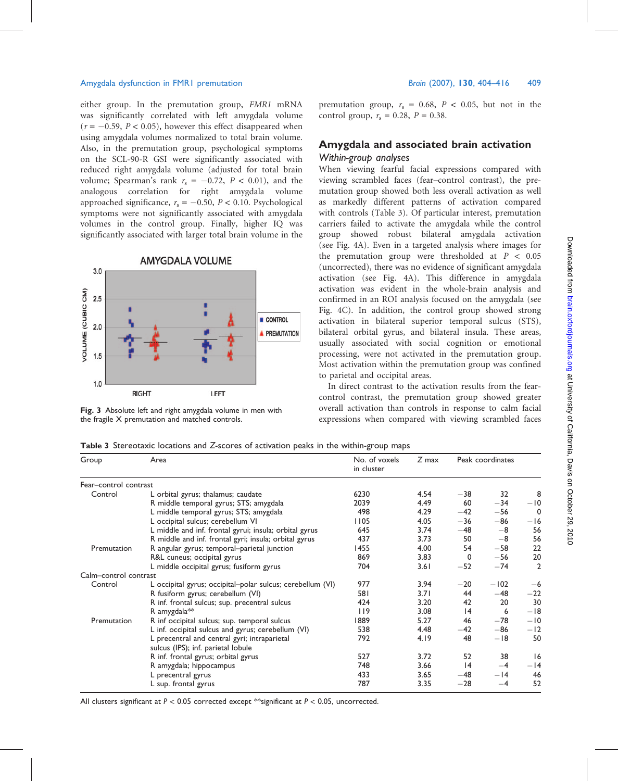either group. In the premutation group, FMR1 mRNA was significantly correlated with left amygdala volume  $(r = -0.59, P < 0.05)$ , however this effect disappeared when using amygdala volumes normalized to total brain volume. Also, in the premutation group, psychological symptoms on the SCL-90-R GSI were significantly associated with reduced right amygdala volume (adjusted for total brain volume; Spearman's rank  $r_s = -0.72$ ,  $P < 0.01$ ), and the analogous correlation for right amygdala volume approached significance,  $r_s = -0.50$ ,  $P < 0.10$ . Psychological symptoms were not significantly associated with amygdala volumes in the control group. Finally, higher IQ was significantly associated with larger total brain volume in the



# **AMYGDALA VOLUME**

Fig. 3 Absolute left and right amygdala volume in men with the fragile X premutation and matched controls.

premutation group,  $r_s = 0.68$ ,  $P < 0.05$ , but not in the control group,  $r_s = 0.28$ ,  $P = 0.38$ .

# Amygdala and associated brain activation Within-group analyses

When viewing fearful facial expressions compared with viewing scrambled faces (fear–control contrast), the premutation group showed both less overall activation as well as markedly different patterns of activation compared with controls (Table 3). Of particular interest, premutation carriers failed to activate the amygdala while the control group showed robust bilateral amygdala activation (see Fig. 4A). Even in a targeted analysis where images for the premutation group were thresholded at  $P < 0.05$ (uncorrected), there was no evidence of significant amygdala activation (see Fig. 4A). This difference in amygdala activation was evident in the whole-brain analysis and confirmed in an ROI analysis focused on the amygdala (see Fig. 4C). In addition, the control group showed strong activation in bilateral superior temporal sulcus (STS), bilateral orbital gyrus, and bilateral insula. These areas, usually associated with social cognition or emotional processing, were not activated in the premutation group. Most activation within the premutation group was confined to parietal and occipital areas.

In direct contrast to the activation results from the fearcontrol contrast, the premutation group showed greater overall activation than controls in response to calm facial expressions when compared with viewing scrambled faces

Table 3 Stereotaxic locations and Z-scores of activation peaks in the within-group maps

| Group                 | Area                                                       | No. of voxels<br>in cluster | Z max | Peak coordinates |        |                |
|-----------------------|------------------------------------------------------------|-----------------------------|-------|------------------|--------|----------------|
| Fear-control contrast |                                                            |                             |       |                  |        |                |
| Control               | L orbital gyrus; thalamus; caudate                         | 6230                        | 4.54  | $-38$            | 32     | ε              |
|                       | R middle temporal gyrus; STS; amygdala                     | 2039                        | 4.49  | 60               | $-34$  | $-10$          |
|                       | L middle temporal gyrus; STS; amygdala                     | 498                         | 4.29  | $-42$            | $-56$  |                |
|                       | L occipital sulcus; cerebellum VI                          | 1105                        | 4.05  | $-36$            | $-86$  | $-16$          |
|                       | L middle and inf. frontal gyrui; insula; orbital gyrus     | 645                         | 3.74  | $-48$            | $-8$   | 56             |
|                       | R middle and inf. frontal gyri; insula; orbital gyrus      | 437                         | 3.73  | 50               | $-8$   | 56             |
| Premutation           | R angular gyrus; temporal-parietal junction                | 1455                        | 4.00  | 54               | $-58$  | 22             |
|                       | R&L cuneus; occipital gyrus                                | 869                         | 3.83  | 0                | $-56$  | 2 <sub>c</sub> |
|                       | L middle occipital gyrus; fusiform gyrus                   | 704                         | 3.61  | $-52$            | $-74$  | 2              |
| Calm-control contrast |                                                            |                             |       |                  |        |                |
| Control               | L occipital gyrus; occipital-polar sulcus; cerebellum (VI) | 977                         | 3.94  | $-20$            | $-102$ | $-\epsilon$    |
|                       | R fusiform gyrus; cerebellum (VI)                          | 581                         | 3.71  | 44               | $-48$  | $^{-22}$       |
|                       | R inf. frontal sulcus; sup. precentral sulcus              | 424                         | 3.20  | 42               | 20     | 3 <sup>c</sup> |
|                       | R amygdala**                                               | 119                         | 3.08  | $\overline{14}$  | 6      | $-18$          |
| Premutation           | R inf occipital sulcus; sup. temporal sulcus               | 1889                        | 5.27  | 46               | $-78$  | $-10$          |
|                       | L inf. occipital sulcus and gyrus; cerebellum (VI)         | 538                         | 4.48  | $-42$            | $-86$  | $-12$          |
|                       | L precentral and central gyri; intraparietal               | 792                         | 4.19  | 48               | $-18$  | 50             |
|                       | sulcus (IPS); inf. parietal lobule                         |                             |       |                  |        |                |
|                       | R inf. frontal gyrus; orbital gyrus                        | 527                         | 3.72  | 52               | 38     | 16             |
|                       | R amygdala; hippocampus                                    | 748                         | 3.66  | 4                | $-4$   | -14            |
|                       | L precentral gyrus                                         | 433                         | 3.65  | $-48$            | $-14$  | 46             |
|                       | L sup. frontal gyrus                                       | 787                         | 3.35  | $-28$            | -4     | 52             |
|                       |                                                            |                             |       |                  |        |                |

All clusters significant at P < 0.05 corrected except \*\*significant at P < 0.05, uncorrected.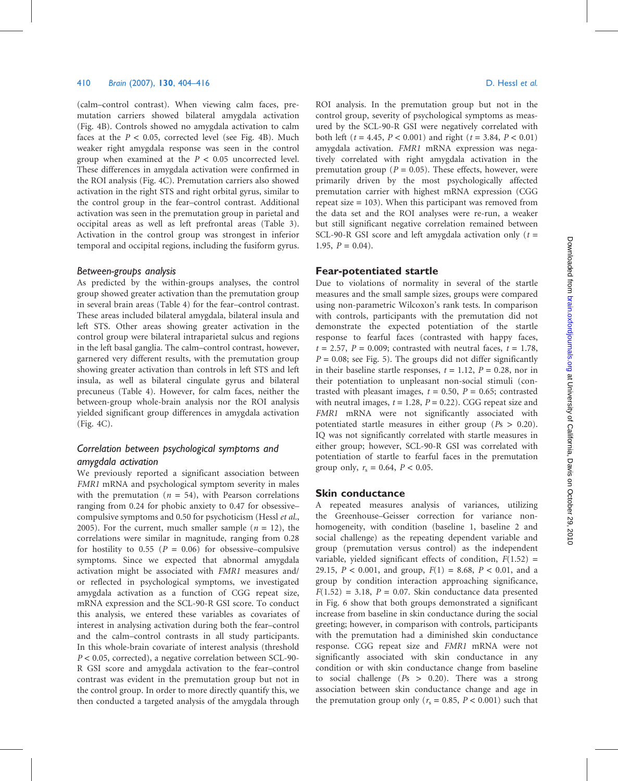#### 410 Brain (2007), 130, 404–416 D. Hessl et al.

(calm–control contrast). When viewing calm faces, premutation carriers showed bilateral amygdala activation (Fig. 4B). Controls showed no amygdala activation to calm faces at the  $P < 0.05$ , corrected level (see Fig. 4B). Much weaker right amygdala response was seen in the control group when examined at the  $P < 0.05$  uncorrected level. These differences in amygdala activation were confirmed in the ROI analysis (Fig. 4C). Premutation carriers also showed activation in the right STS and right orbital gyrus, similar to the control group in the fear–control contrast. Additional activation was seen in the premutation group in parietal and occipital areas as well as left prefrontal areas (Table 3). Activation in the control group was strongest in inferior temporal and occipital regions, including the fusiform gyrus.

# Between-groups analysis

As predicted by the within-groups analyses, the control group showed greater activation than the premutation group in several brain areas (Table 4) for the fear–control contrast. These areas included bilateral amygdala, bilateral insula and left STS. Other areas showing greater activation in the control group were bilateral intraparietal sulcus and regions in the left basal ganglia. The calm–control contrast, however, garnered very different results, with the premutation group showing greater activation than controls in left STS and left insula, as well as bilateral cingulate gyrus and bilateral precuneus (Table 4). However, for calm faces, neither the between-group whole-brain analysis nor the ROI analysis yielded significant group differences in amygdala activation (Fig. 4C).

# Correlation between psychological symptoms and amygdala activation

We previously reported a significant association between FMR1 mRNA and psychological symptom severity in males with the premutation ( $n = 54$ ), with Pearson correlations ranging from 0.24 for phobic anxiety to 0.47 for obsessive– compulsive symptoms and 0.50 for psychoticism (Hessl et al., 2005). For the current, much smaller sample ( $n = 12$ ), the correlations were similar in magnitude, ranging from 0.28 for hostility to 0.55 ( $P = 0.06$ ) for obsessive–compulsive symptoms. Since we expected that abnormal amygdala activation might be associated with FMR1 measures and/ or reflected in psychological symptoms, we investigated amygdala activation as a function of CGG repeat size, mRNA expression and the SCL-90-R GSI score. To conduct this analysis, we entered these variables as covariates of interest in analysing activation during both the fear–control and the calm–control contrasts in all study participants. In this whole-brain covariate of interest analysis (threshold  $P < 0.05$ , corrected), a negative correlation between SCL-90-R GSI score and amygdala activation to the fear–control contrast was evident in the premutation group but not in the control group. In order to more directly quantify this, we then conducted a targeted analysis of the amygdala through

ROI analysis. In the premutation group but not in the control group, severity of psychological symptoms as measured by the SCL-90-R GSI were negatively correlated with both left ( $t = 4.45$ ,  $P < 0.001$ ) and right ( $t = 3.84$ ,  $P < 0.01$ ) amygdala activation. FMR1 mRNA expression was negatively correlated with right amygdala activation in the premutation group ( $P = 0.05$ ). These effects, however, were primarily driven by the most psychologically affected premutation carrier with highest mRNA expression (CGG repeat size  $= 103$ ). When this participant was removed from the data set and the ROI analyses were re-run, a weaker but still significant negative correlation remained between SCL-90-R GSI score and left amygdala activation only  $(t =$ 1.95,  $P = 0.04$ ).

# Fear-potentiated startle

Due to violations of normality in several of the startle measures and the small sample sizes, groups were compared using non-parametric Wilcoxon's rank tests. In comparison with controls, participants with the premutation did not demonstrate the expected potentiation of the startle response to fearful faces (contrasted with happy faces,  $t = 2.57$ ,  $P = 0.009$ ; contrasted with neutral faces,  $t = 1.78$ ,  $P = 0.08$ ; see Fig. 5). The groups did not differ significantly in their baseline startle responses,  $t = 1.12$ ,  $P = 0.28$ , nor in their potentiation to unpleasant non-social stimuli (contrasted with pleasant images,  $t = 0.50$ ,  $P = 0.65$ ; contrasted with neutral images,  $t = 1.28$ ,  $P = 0.22$ ). CGG repeat size and FMR1 mRNA were not significantly associated with potentiated startle measures in either group ( $Ps > 0.20$ ). IQ was not significantly correlated with startle measures in either group; however, SCL-90-R GSI was correlated with potentiation of startle to fearful faces in the premutation group only,  $r_s = 0.64$ ,  $P < 0.05$ .

# Skin conductance

A repeated measures analysis of variances, utilizing the Greenhouse–Geisser correction for variance nonhomogeneity, with condition (baseline 1, baseline 2 and social challenge) as the repeating dependent variable and group (premutation versus control) as the independent variable, yielded significant effects of condition,  $F(1.52)$  = 29.15,  $P < 0.001$ , and group,  $F(1) = 8.68$ ,  $P < 0.01$ , and a group by condition interaction approaching significance,  $F(1.52) = 3.18$ ,  $P = 0.07$ . Skin conductance data presented in Fig. 6 show that both groups demonstrated a significant increase from baseline in skin conductance during the social greeting; however, in comparison with controls, participants with the premutation had a diminished skin conductance response. CGG repeat size and FMR1 mRNA were not significantly associated with skin conductance in any condition or with skin conductance change from baseline to social challenge ( $Ps > 0.20$ ). There was a strong association between skin conductance change and age in the premutation group only ( $r_s = 0.85$ ,  $P < 0.001$ ) such that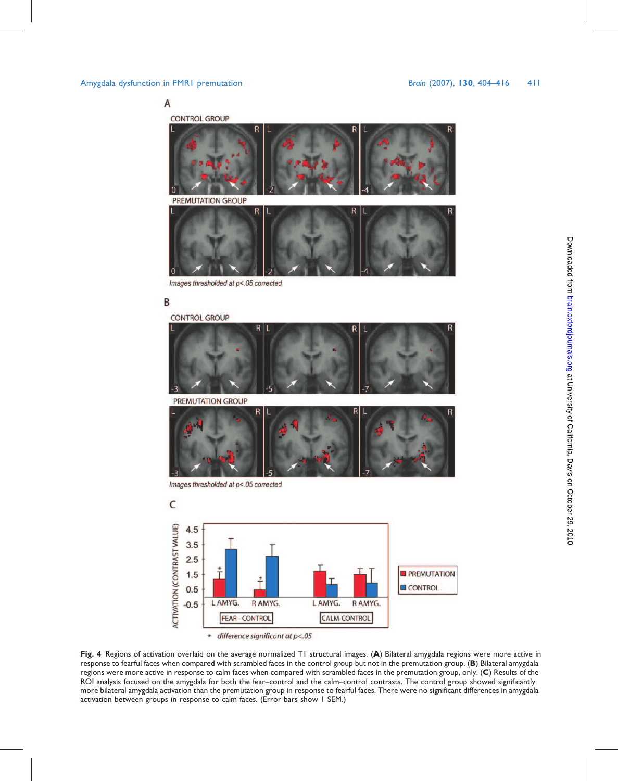A

**CONTROL GROUP** 



Images thresholded at p<.05 corrected

# B

**CONTROL GROUP** R PREMUTATION GROUP Images thresholded at p<.05 corrected C



Fig. 4 Regions of activation overlaid on the average normalized T1 structural images. (A) Bilateral amygdala regions were more active in response to fearful faces when compared with scrambled faces in the control group but not in the premutation group. (B) Bilateral amygdala regions were more active in response to calm faces when compared with scrambled faces in the premutation group, only. (C) Results of the ROI analysis focused on the amygdala for both the fear–control and the calm–control contrasts. The control group showed significantly more bilateral amygdala activation than the premutation group in response to fearful faces. There were no significant differences in amygdala activation between groups in response to calm faces. (Error bars show 1 SEM.)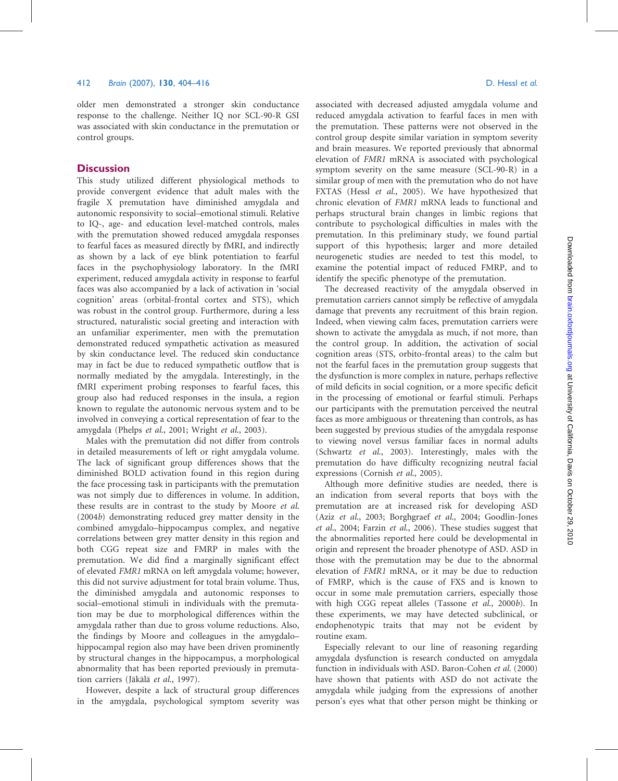older men demonstrated a stronger skin conductance response to the challenge. Neither IQ nor SCL-90-R GSI was associated with skin conductance in the premutation or control groups.

# **Discussion**

This study utilized different physiological methods to provide convergent evidence that adult males with the fragile X premutation have diminished amygdala and autonomic responsivity to social–emotional stimuli. Relative to IQ-, age- and education level-matched controls, males with the premutation showed reduced amygdala responses to fearful faces as measured directly by fMRI, and indirectly as shown by a lack of eye blink potentiation to fearful faces in the psychophysiology laboratory. In the fMRI experiment, reduced amygdala activity in response to fearful faces was also accompanied by a lack of activation in 'social cognition' areas (orbital-frontal cortex and STS), which was robust in the control group. Furthermore, during a less structured, naturalistic social greeting and interaction with an unfamiliar experimenter, men with the premutation demonstrated reduced sympathetic activation as measured by skin conductance level. The reduced skin conductance may in fact be due to reduced sympathetic outflow that is normally mediated by the amygdala. Interestingly, in the fMRI experiment probing responses to fearful faces, this group also had reduced responses in the insula, a region known to regulate the autonomic nervous system and to be involved in conveying a cortical representation of fear to the amygdala (Phelps et al., 2001; Wright et al., 2003).

Males with the premutation did not differ from controls in detailed measurements of left or right amygdala volume. The lack of significant group differences shows that the diminished BOLD activation found in this region during the face processing task in participants with the premutation was not simply due to differences in volume. In addition, these results are in contrast to the study by Moore et al. (2004b) demonstrating reduced grey matter density in the combined amygdalo–hippocampus complex, and negative correlations between grey matter density in this region and both CGG repeat size and FMRP in males with the premutation. We did find a marginally significant effect of elevated FMR1 mRNA on left amygdala volume; however, this did not survive adjustment for total brain volume. Thus, the diminished amygdala and autonomic responses to social–emotional stimuli in individuals with the premutation may be due to morphological differences within the amygdala rather than due to gross volume reductions. Also, the findings by Moore and colleagues in the amygdalo– hippocampal region also may have been driven prominently by structural changes in the hippocampus, a morphological abnormality that has been reported previously in premutation carriers (Jäkälä et al., 1997).

However, despite a lack of structural group differences in the amygdala, psychological symptom severity was

associated with decreased adjusted amygdala volume and reduced amygdala activation to fearful faces in men with the premutation. These patterns were not observed in the control group despite similar variation in symptom severity and brain measures. We reported previously that abnormal elevation of FMR1 mRNA is associated with psychological symptom severity on the same measure (SCL-90-R) in a similar group of men with the premutation who do not have FXTAS (Hessl et al., 2005). We have hypothesized that chronic elevation of FMR1 mRNA leads to functional and perhaps structural brain changes in limbic regions that contribute to psychological difficulties in males with the premutation. In this preliminary study, we found partial support of this hypothesis; larger and more detailed neurogenetic studies are needed to test this model, to examine the potential impact of reduced FMRP, and to identify the specific phenotype of the premutation.

The decreased reactivity of the amygdala observed in premutation carriers cannot simply be reflective of amygdala damage that prevents any recruitment of this brain region. Indeed, when viewing calm faces, premutation carriers were shown to activate the amygdala as much, if not more, than the control group. In addition, the activation of social cognition areas (STS, orbito-frontal areas) to the calm but not the fearful faces in the premutation group suggests that the dysfunction is more complex in nature, perhaps reflective of mild deficits in social cognition, or a more specific deficit in the processing of emotional or fearful stimuli. Perhaps our participants with the premutation perceived the neutral faces as more ambiguous or threatening than controls, as has been suggested by previous studies of the amygdala response to viewing novel versus familiar faces in normal adults (Schwartz et al., 2003). Interestingly, males with the premutation do have difficulty recognizing neutral facial expressions (Cornish et al., 2005).

Although more definitive studies are needed, there is an indication from several reports that boys with the premutation are at increased risk for developing ASD (Aziz et al., 2003; Borghgraef et al., 2004; Goodlin-Jones et al., 2004; Farzin et al., 2006). These studies suggest that the abnormalities reported here could be developmental in origin and represent the broader phenotype of ASD. ASD in those with the premutation may be due to the abnormal elevation of FMR1 mRNA, or it may be due to reduction of FMRP, which is the cause of FXS and is known to occur in some male premutation carriers, especially those with high CGG repeat alleles (Tassone et al., 2000b). In these experiments, we may have detected subclinical, or endophenotypic traits that may not be evident by routine exam.

Especially relevant to our line of reasoning regarding amygdala dysfunction is research conducted on amygdala function in individuals with ASD. Baron-Cohen et al. (2000) have shown that patients with ASD do not activate the amygdala while judging from the expressions of another person's eyes what that other person might be thinking or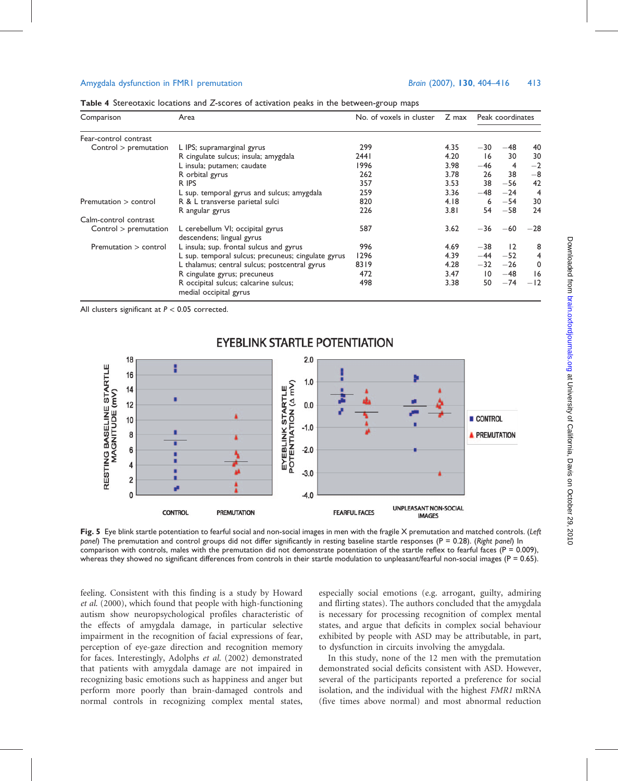| Comparison              | Area                                                            | No. of voxels in cluster | Z max | Peak coordinates |                      |         |  |  |
|-------------------------|-----------------------------------------------------------------|--------------------------|-------|------------------|----------------------|---------|--|--|
| Fear-control contrast   |                                                                 |                          |       |                  |                      |         |  |  |
| Control > premutation   | L IPS; supramarginal gyrus                                      | 299                      | 4.35  | $-30$            | -48                  | 40      |  |  |
|                         | R cingulate sulcus; insula; amygdala                            | 244 I                    | 4.20  | 16               | 30                   | 30      |  |  |
|                         | L insula; putamen; caudate                                      | 1996                     | 3.98  | $-46$            | 4                    | $-2$    |  |  |
|                         | R orbital gyrus                                                 | 262                      | 3.78  | 26               | 38                   | $^{-8}$ |  |  |
|                         | R IPS                                                           | 357                      | 3.53  | 38               | $-56$                | 42      |  |  |
|                         | L sup. temporal gyrus and sulcus; amygdala                      | 259                      | 3.36  | $-48$            | $-24$                | 4       |  |  |
| Premutation $>$ control | R & L transverse parietal sulci                                 | 820                      | 4.18  | 6                | $-54$                | 30      |  |  |
|                         | R angular gyrus                                                 | 226                      | 3.81  | 54               | $-58$                | 24      |  |  |
| Calm-control contrast   |                                                                 |                          |       |                  |                      |         |  |  |
| Control > premutation   | L cerebellum VI; occipital gyrus                                | 587                      | 3.62  | $-36$            | $-60$                | $-28$   |  |  |
|                         | descendens; lingual gyrus                                       |                          |       |                  |                      |         |  |  |
| Premutation $>$ control | L insula; sup. frontal sulcus and gyrus                         | 996                      | 4.69  | $-38$            | 12<br>$-52$<br>$-26$ | 8       |  |  |
|                         | L sup. temporal sulcus; precuneus; cingulate gyrus              | 1296                     | 4.39  | $-44$            |                      | 4       |  |  |
|                         | L thalamus; central sulcus; postcentral gyrus                   | 8319                     | 4.28  | $-32$            |                      | 0       |  |  |
|                         | R cingulate gyrus; precuneus                                    | 472                      | 3.47  | $\overline{10}$  | $-48$                | 16      |  |  |
|                         | R occipital sulcus; calcarine sulcus;<br>medial occipital gyrus | 498                      | 3.38  | 50               | $-74$                | $-12$   |  |  |

Table 4 Stereotaxic locations and Z-scores of activation peaks in the between-group maps

All clusters significant at  $P < 0.05$  corrected.



# **EYEBLINK STARTLE POTENTIATION**

Fig. 5 Eye blink startle potentiation to fearful social and non-social images in men with the fragile X premutation and matched controls. (Left panel) The premutation and control groups did not differ significantly in resting baseline startle responses ( $P = 0.28$ ). (Right panel) In comparison with controls, males with the premutation did not demonstrate potentiation of the startle reflex to fearful faces ( $P = 0.009$ ), whereas they showed no significant differences from controls in their startle modulation to unpleasant/fearful non-social images ( $P = 0.65$ ).

feeling. Consistent with this finding is a study by Howard et al. (2000), which found that people with high-functioning autism show neuropsychological profiles characteristic of the effects of amygdala damage, in particular selective impairment in the recognition of facial expressions of fear, perception of eye-gaze direction and recognition memory for faces. Interestingly, Adolphs et al. (2002) demonstrated that patients with amygdala damage are not impaired in recognizing basic emotions such as happiness and anger but perform more poorly than brain-damaged controls and normal controls in recognizing complex mental states, especially social emotions (e.g. arrogant, guilty, admiring and flirting states). The authors concluded that the amygdala is necessary for processing recognition of complex mental states, and argue that deficits in complex social behaviour exhibited by people with ASD may be attributable, in part, to dysfunction in circuits involving the amygdala.

In this study, none of the 12 men with the premutation demonstrated social deficits consistent with ASD. However, several of the participants reported a preference for social isolation, and the individual with the highest FMR1 mRNA (five times above normal) and most abnormal reduction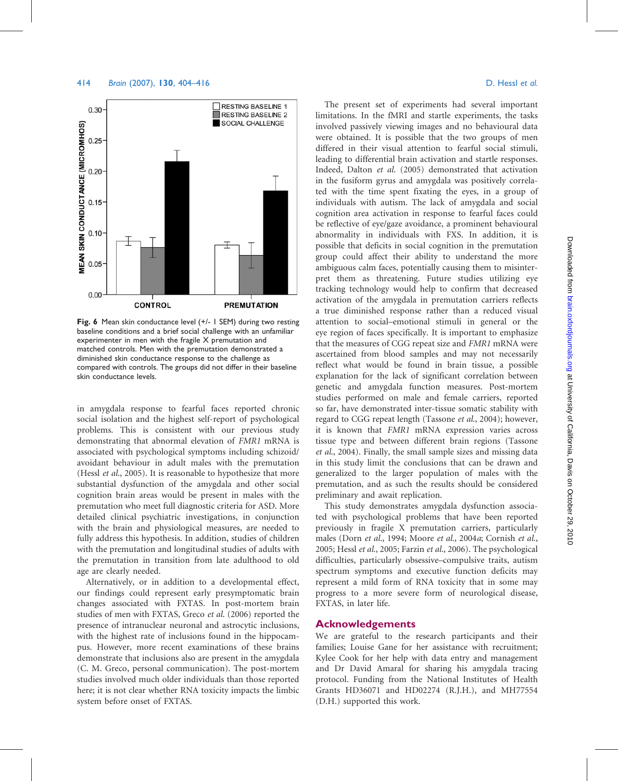

Fig. 6 Mean skin conductance level (+/- 1 SEM) during two resting baseline conditions and a brief social challenge with an unfamiliar experimenter in men with the fragile X premutation and matched controls. Men with the premutation demonstrated a diminished skin conductance response to the challenge as compared with controls. The groups did not differ in their baseline skin conductance levels.

in amygdala response to fearful faces reported chronic social isolation and the highest self-report of psychological problems. This is consistent with our previous study demonstrating that abnormal elevation of FMR1 mRNA is associated with psychological symptoms including schizoid/ avoidant behaviour in adult males with the premutation (Hessl et al., 2005). It is reasonable to hypothesize that more substantial dysfunction of the amygdala and other social cognition brain areas would be present in males with the premutation who meet full diagnostic criteria for ASD. More detailed clinical psychiatric investigations, in conjunction with the brain and physiological measures, are needed to fully address this hypothesis. In addition, studies of children with the premutation and longitudinal studies of adults with the premutation in transition from late adulthood to old age are clearly needed.

Alternatively, or in addition to a developmental effect, our findings could represent early presymptomatic brain changes associated with FXTAS. In post-mortem brain studies of men with FXTAS, Greco et al. (2006) reported the presence of intranuclear neuronal and astrocytic inclusions, with the highest rate of inclusions found in the hippocampus. However, more recent examinations of these brains demonstrate that inclusions also are present in the amygdala (C. M. Greco, personal communication). The post-mortem studies involved much older individuals than those reported here; it is not clear whether RNA toxicity impacts the limbic system before onset of FXTAS.

The present set of experiments had several important limitations. In the fMRI and startle experiments, the tasks involved passively viewing images and no behavioural data were obtained. It is possible that the two groups of men differed in their visual attention to fearful social stimuli, leading to differential brain activation and startle responses. Indeed, Dalton et al. (2005) demonstrated that activation in the fusiform gyrus and amygdala was positively correlated with the time spent fixating the eyes, in a group of individuals with autism. The lack of amygdala and social cognition area activation in response to fearful faces could be reflective of eye/gaze avoidance, a prominent behavioural abnormality in individuals with FXS. In addition, it is possible that deficits in social cognition in the premutation group could affect their ability to understand the more ambiguous calm faces, potentially causing them to misinterpret them as threatening. Future studies utilizing eye tracking technology would help to confirm that decreased activation of the amygdala in premutation carriers reflects a true diminished response rather than a reduced visual attention to social–emotional stimuli in general or the eye region of faces specifically. It is important to emphasize that the measures of CGG repeat size and FMR1 mRNA were ascertained from blood samples and may not necessarily reflect what would be found in brain tissue, a possible explanation for the lack of significant correlation between genetic and amygdala function measures. Post-mortem studies performed on male and female carriers, reported so far, have demonstrated inter-tissue somatic stability with regard to CGG repeat length (Tassone et al., 2004); however, it is known that FMR1 mRNA expression varies across tissue type and between different brain regions (Tassone et al., 2004). Finally, the small sample sizes and missing data in this study limit the conclusions that can be drawn and generalized to the larger population of males with the premutation, and as such the results should be considered preliminary and await replication.

This study demonstrates amygdala dysfunction associated with psychological problems that have been reported previously in fragile X premutation carriers, particularly males (Dorn et al., 1994; Moore et al., 2004a; Cornish et al., 2005; Hessl et al., 2005; Farzin et al., 2006). The psychological difficulties, particularly obsessive–compulsive traits, autism spectrum symptoms and executive function deficits may represent a mild form of RNA toxicity that in some may progress to a more severe form of neurological disease, FXTAS, in later life.

## Acknowledgements

We are grateful to the research participants and their families; Louise Gane for her assistance with recruitment; Kylee Cook for her help with data entry and management and Dr David Amaral for sharing his amygdala tracing protocol. Funding from the National Institutes of Health Grants HD36071 and HD02274 (R.J.H.), and MH77554 (D.H.) supported this work.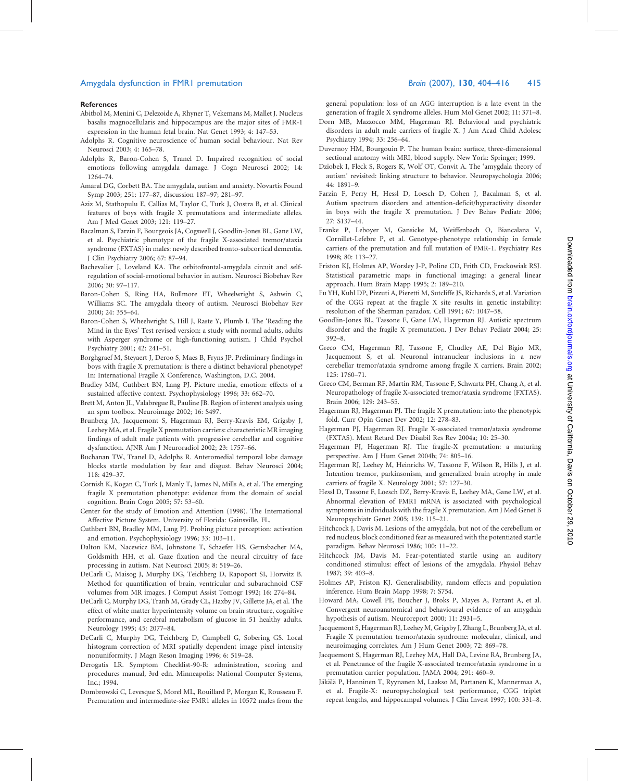#### **References**

- Abitbol M, Menini C, Delezoide A, Rhyner T, Vekemans M, Mallet J. Nucleus basalis magnocellularis and hippocampus are the major sites of FMR-1 expression in the human fetal brain. Nat Genet 1993; 4: 147–53.
- Adolphs R. Cognitive neuroscience of human social behaviour. Nat Rev Neurosci 2003; 4: 165–78.
- Adolphs R, Baron-Cohen S, Tranel D. Impaired recognition of social emotions following amygdala damage. J Cogn Neurosci 2002; 14: 1264–74.
- Amaral DG, Corbett BA. The amygdala, autism and anxiety. Novartis Found Symp 2003; 251: 177–87, discussion 187–97; 281–97.
- Aziz M, Stathopulu E, Callias M, Taylor C, Turk J, Oostra B, et al. Clinical features of boys with fragile X premutations and intermediate alleles. Am J Med Genet 2003; 121: 119–27.
- Bacalman S, Farzin F, Bourgeois JA, Cogswell J, Goodlin-Jones BL, Gane LW, et al. Psychiatric phenotype of the fragile X-associated tremor/ataxia syndrome (FXTAS) in males: newly described fronto-subcortical dementia. J Clin Psychiatry 2006; 67: 87–94.
- Bachevalier J, Loveland KA. The orbitofrontal-amygdala circuit and selfregulation of social-emotional behavior in autism. Neurosci Biobehav Rev 2006; 30: 97–117.
- Baron-Cohen S, Ring HA, Bullmore ET, Wheelwright S, Ashwin C, Williams SC. The amygdala theory of autism. Neurosci Biobehav Rev 2000; 24: 355–64.
- Baron-Cohen S, Wheelwright S, Hill J, Raste Y, Plumb I. The 'Reading the Mind in the Eyes' Test revised version: a study with normal adults, adults with Asperger syndrome or high-functioning autism. J Child Psychol Psychiatry 2001; 42: 241–51.
- Borghgraef M, Steyaert J, Deroo S, Maes B, Fryns JP. Preliminary findings in boys with fragile X premutation: is there a distinct behavioral phenotype? In: International Fragile X Conference, Washington, D.C. 2004.
- Bradley MM, Cuthbert BN, Lang PJ. Picture media, emotion: effects of a sustained affective context. Psychophysiology 1996; 33: 662–70.
- Brett M, Anton JL, Valabregue R, Pauline JB. Region of interest analysis using an spm toolbox. Neuroimage 2002; 16: S497.
- Brunberg JA, Jacquemont S, Hagerman RJ, Berry-Kravis EM, Grigsby J, Leehey MA, et al. Fragile X premutation carriers: characteristic MR imaging findings of adult male patients with progressive cerebellar and cognitive dysfunction. AJNR Am J Neuroradiol 2002; 23: 1757–66.
- Buchanan TW, Tranel D, Adolphs R. Anteromedial temporal lobe damage blocks startle modulation by fear and disgust. Behav Neurosci 2004; 118: 429–37.
- Cornish K, Kogan C, Turk J, Manly T, James N, Mills A, et al. The emerging fragile X premutation phenotype: evidence from the domain of social cognition. Brain Cogn 2005; 57: 53–60.
- Center for the study of Emotion and Attention (1998). The International Affective Picture System. University of Florida: Gainsville, FL.
- Cuthbert BN, Bradley MM, Lang PJ. Probing picture perception: activation and emotion. Psychophysiology 1996; 33: 103–11.
- Dalton KM, Nacewicz BM, Johnstone T, Schaefer HS, Gernsbacher MA, Goldsmith HH, et al. Gaze fixation and the neural circuitry of face processing in autism. Nat Neurosci 2005; 8: 519–26.
- DeCarli C, Maisog J, Murphy DG, Teichberg D, Rapoport SI, Horwitz B. Method for quantification of brain, ventricular and subarachnoid CSF volumes from MR images. J Comput Assist Tomogr 1992; 16: 274–84.
- DeCarli C, Murphy DG, Tranh M, Grady CL, Haxby JV, Gillette JA, et al. The effect of white matter hyperintensity volume on brain structure, cognitive performance, and cerebral metabolism of glucose in 51 healthy adults. Neurology 1995; 45: 2077–84.
- DeCarli C, Murphy DG, Teichberg D, Campbell G, Sobering GS. Local histogram correction of MRI spatially dependent image pixel intensity nonuniformity. J Magn Reson Imaging 1996; 6: 519–28.
- Derogatis LR. Symptom Checklist-90-R: administration, scoring and procedures manual, 3rd edn. Minneapolis: National Computer Systems, Inc.; 1994.
- Dombrowski C, Levesque S, Morel ML, Rouillard P, Morgan K, Rousseau F. Premutation and intermediate-size FMR1 alleles in 10572 males from the

general population: loss of an AGG interruption is a late event in the generation of fragile X syndrome alleles. Hum Mol Genet 2002; 11: 371–8.

- Dorn MB, Mazzocco MM, Hagerman RJ. Behavioral and psychiatric disorders in adult male carriers of fragile X. J Am Acad Child Adolesc Psychiatry 1994; 33: 256–64.
- Duvernoy HM, Bourgouin P. The human brain: surface, three-dimensional sectional anatomy with MRI, blood supply. New York: Springer; 1999.
- Dziobek I, Fleck S, Rogers K, Wolf OT, Convit A. The 'amygdala theory of autism' revisited: linking structure to behavior. Neuropsychologia 2006; 44: 1891–9.
- Farzin F, Perry H, Hessl D, Loesch D, Cohen J, Bacalman S, et al. Autism spectrum disorders and attention-deficit/hyperactivity disorder in boys with the fragile X premutation. J Dev Behav Pediatr 2006; 27: S137–44.
- Franke P, Leboyer M, Gansicke M, Weiffenbach O, Biancalana V, Cornillet-Lefebre P, et al. Genotype-phenotype relationship in female carriers of the premutation and full mutation of FMR-1. Psychiatry Res 1998; 80: 113–27.
- Friston KJ, Holmes AP, Worsley J-P, Poline CD, Frith CD, Frackowiak RSJ. Statistical parametric maps in functional imaging: a general linear approach. Hum Brain Mapp 1995; 2: 189–210.
- Fu YH, Kuhl DP, Pizzuti A, Pieretti M, Sutcliffe JS, Richards S, et al. Variation of the CGG repeat at the fragile X site results in genetic instability: resolution of the Sherman paradox. Cell 1991; 67: 1047–58.
- Goodlin-Jones BL, Tassone F, Gane LW, Hagerman RJ. Autistic spectrum disorder and the fragile X premutation. J Dev Behav Pediatr 2004; 25: 392–8.
- Greco CM, Hagerman RJ, Tassone F, Chudley AE, Del Bigio MR, Jacquemont S, et al. Neuronal intranuclear inclusions in a new cerebellar tremor/ataxia syndrome among fragile X carriers. Brain 2002; 125: 1760–71.
- Greco CM, Berman RF, Martin RM, Tassone F, Schwartz PH, Chang A, et al. Neuropathology of fragile X-associated tremor/ataxia syndrome (FXTAS). Brain 2006; 129: 243–55.
- Hagerman RJ, Hagerman PJ. The fragile X premutation: into the phenotypic fold. Curr Opin Genet Dev 2002; 12: 278–83.
- Hagerman PJ, Hagerman RJ. Fragile X-associated tremor/ataxia syndrome (FXTAS). Ment Retard Dev Disabil Res Rev 2004a; 10: 25–30.
- Hagerman PJ, Hagerman RJ. The fragile-X premutation: a maturing perspective. Am J Hum Genet 2004b; 74: 805–16.
- Hagerman RJ, Leehey M, Heinrichs W, Tassone F, Wilson R, Hills J, et al. Intention tremor, parkinsonism, and generalized brain atrophy in male carriers of fragile X. Neurology 2001; 57: 127–30.
- Hessl D, Tassone F, Loesch DZ, Berry-Kravis E, Leehey MA, Gane LW, et al. Abnormal elevation of FMR1 mRNA is associated with psychological symptoms in individuals with the fragile X premutation. Am J Med Genet B Neuropsychiatr Genet 2005; 139: 115–21.
- Hitchcock J, Davis M. Lesions of the amygdala, but not of the cerebellum or red nucleus, block conditioned fear as measured with the potentiated startle paradigm. Behav Neurosci 1986; 100: 11–22.
- Hitchcock JM, Davis M. Fear-potentiated startle using an auditory conditioned stimulus: effect of lesions of the amygdala. Physiol Behav 1987; 39: 403–8.
- Holmes AP, Friston KJ. Generalisability, random effects and population inference. Hum Brain Mapp 1998; 7: S754.
- Howard MA, Cowell PE, Boucher J, Broks P, Mayes A, Farrant A, et al. Convergent neuroanatomical and behavioural evidence of an amygdala hypothesis of autism. Neuroreport 2000; 11: 2931–5.
- Jacquemont S, Hagerman RJ, Leehey M, Grigsby J, Zhang L, Brunberg JA, et al. Fragile X premutation tremor/ataxia syndrome: molecular, clinical, and neuroimaging correlates. Am J Hum Genet 2003; 72: 869–78.
- Jacquemont S, Hagerman RJ, Leehey MA, Hall DA, Levine RA, Brunberg JA, et al. Penetrance of the fragile X-associated tremor/ataxia syndrome in a premutation carrier population. JAMA 2004; 291: 460–9.
- Jäkälä P, Hanninen T, Ryynanen M, Laakso M, Partanen K, Mannermaa A, et al. Fragile-X: neuropsychological test performance, CGG triplet repeat lengths, and hippocampal volumes. J Clin Invest 1997; 100: 331–8.